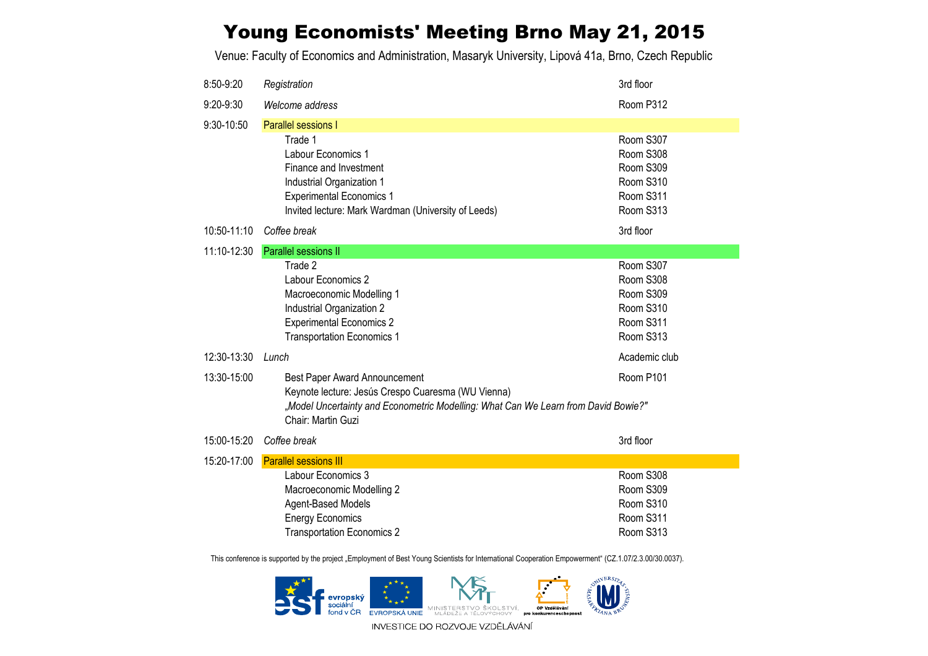## Young Economists' Meeting Brno May 21, 2015

Venue: Faculty of Economics and Administration, Masaryk University, Lipová 41a, Brno, Czech Republic

| 8:50-9:20   | Registration                                                                                                                                                                                                 | 3rd floor                                                                  |  |  |  |  |
|-------------|--------------------------------------------------------------------------------------------------------------------------------------------------------------------------------------------------------------|----------------------------------------------------------------------------|--|--|--|--|
| 9:20-9:30   | Welcome address                                                                                                                                                                                              | Room P312                                                                  |  |  |  |  |
| 9:30-10:50  | Parallel sessions I                                                                                                                                                                                          |                                                                            |  |  |  |  |
|             | Trade 1<br>Labour Economics 1<br>Finance and Investment<br>Industrial Organization 1<br><b>Experimental Economics 1</b><br>Invited lecture: Mark Wardman (University of Leeds)                               | Room S307<br>Room S308<br>Room S309<br>Room S310<br>Room S311<br>Room S313 |  |  |  |  |
| 10:50-11:10 | Coffee break                                                                                                                                                                                                 | 3rd floor                                                                  |  |  |  |  |
| 11:10-12:30 | Parallel sessions II                                                                                                                                                                                         |                                                                            |  |  |  |  |
|             | Trade 2<br>Labour Economics 2<br>Macroeconomic Modelling 1<br>Industrial Organization 2<br><b>Experimental Economics 2</b><br><b>Transportation Economics 1</b>                                              | Room S307<br>Room S308<br>Room S309<br>Room S310<br>Room S311<br>Room S313 |  |  |  |  |
| 12:30-13:30 | Lunch                                                                                                                                                                                                        | Academic club                                                              |  |  |  |  |
| 13:30-15:00 | Room P101<br>Best Paper Award Announcement<br>Keynote lecture: Jesús Crespo Cuaresma (WU Vienna)<br>"Model Uncertainty and Econometric Modelling: What Can We Learn from David Bowie?"<br>Chair: Martin Guzi |                                                                            |  |  |  |  |
| 15:00-15:20 | Coffee break                                                                                                                                                                                                 | 3rd floor                                                                  |  |  |  |  |
| 15:20-17:00 | <b>Parallel sessions III</b>                                                                                                                                                                                 |                                                                            |  |  |  |  |
|             | Labour Economics 3<br>Macroeconomic Modelling 2<br>Agent-Based Models<br><b>Energy Economics</b><br><b>Transportation Economics 2</b>                                                                        | Room S308<br>Room S309<br>Room S310<br>Room S311<br>Room S313              |  |  |  |  |

This conference is supported by the project "Employment of Best Young Scientists for International Cooperation Empowerment" (CZ.1.07/2.3.00/30.0037).